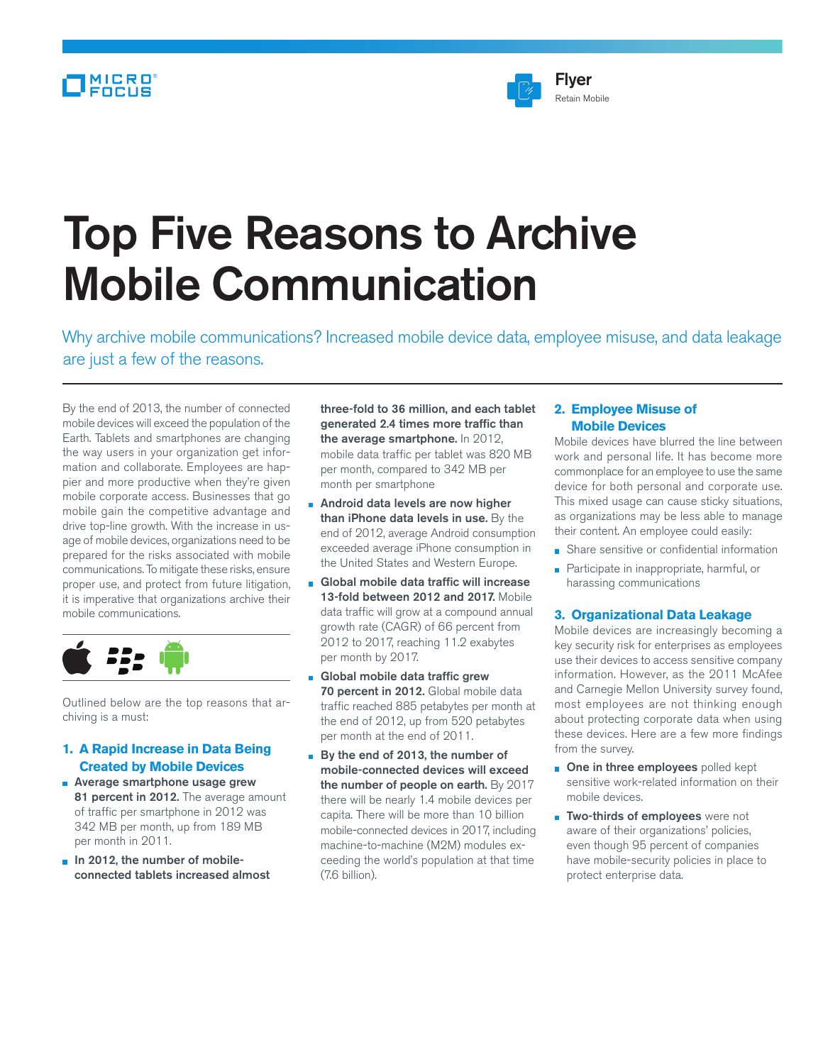# MICRO<sup>®</sup><br>FOCUS



# Top Five Reasons to Archive Mobile Communication

Why archive mobile communications? Increased mobile device data, employee misuse, and data leakage are just a few of the reasons.

By the end of 2013, the number of connected mobile devices will exceed the population of the Earth. Tablets and smartphones are changing the way users in your organization get information and collaborate. Employees are happier and more productive when they're given mobile corporate access. Businesses that go mobile gain the competitive advantage and drive top-line growth. With the increase in usage of mobile devices, organizations need to be prepared for the risks associated with mobile communications. To mitigate these risks, ensure proper use, and protect from future litigation, it is imperative that organizations archive their mobile communications.



Outlined below are the top reasons that archiving is a must:

# **1. A Rapid Increase in Data Being Created by Mobile Devices**

- **Average smartphone usage grew** 81 percent in 2012. The average amount of traffic per smartphone in 2012 was 342 MB per month, up from 189 MB per month in 2011.
- $\blacksquare$  In 2012, the number of mobileconnected tablets increased almost

three-fold to 36 million, and each tablet generated 2.4 times more traffic than the average smartphone. In 2012, mobile data traffic per tablet was 820 MB per month, compared to 342 MB per month per smartphone

- Android data levels are now higher than iPhone data levels in use. By the end of 2012, average Android consumption exceeded average iPhone consumption in the United States and Western Europe.
- Global mobile data traffic will increase 13-fold between 2012 and 2017. Mobile data traffic will grow at a compound annual growth rate (CAGR) of 66 percent from 2012 to 2017, reaching 11.2 exabytes per month by 2017.
- Global mobile data traffic grew 70 percent in 2012. Global mobile data traffic reached 885 petabytes per month at the end of 2012, up from 520 petabytes per month at the end of 2011.
- By the end of 2013, the number of mobile-connected devices will exceed the number of people on earth. By 2017 there will be nearly 1.4 mobile devices per capita. There will be more than 10 billion mobile-connected devices in 2017, including machine-to-machine (M2M) modules exceeding the world's population at that time (7.6 billion).

# **2. Employee Misuse of Mobile Devices**

Mobile devices have blurred the line between work and personal life. It has become more commonplace for an employee to use the same device for both personal and corporate use. This mixed usage can cause sticky situations, as organizations may be less able to manage their content. An employee could easily:

- Share sensitive or confidential information
- Participate in inappropriate, harmful, or harassing communications

#### **3. Organizational Data Leakage**

Mobile devices are increasingly becoming a key security risk for enterprises as employees use their devices to access sensitive company information. However, as the 2011 McAfee and Carnegie Mellon University survey found, most employees are not thinking enough about protecting corporate data when using these devices. Here are a few more findings from the survey.

- **n** One in three employees polled kept sensitive work-related information on their mobile devices.
- **Two-thirds of employees** were not aware of their organizations' policies, even though 95 percent of companies have mobile-security policies in place to protect enterprise data.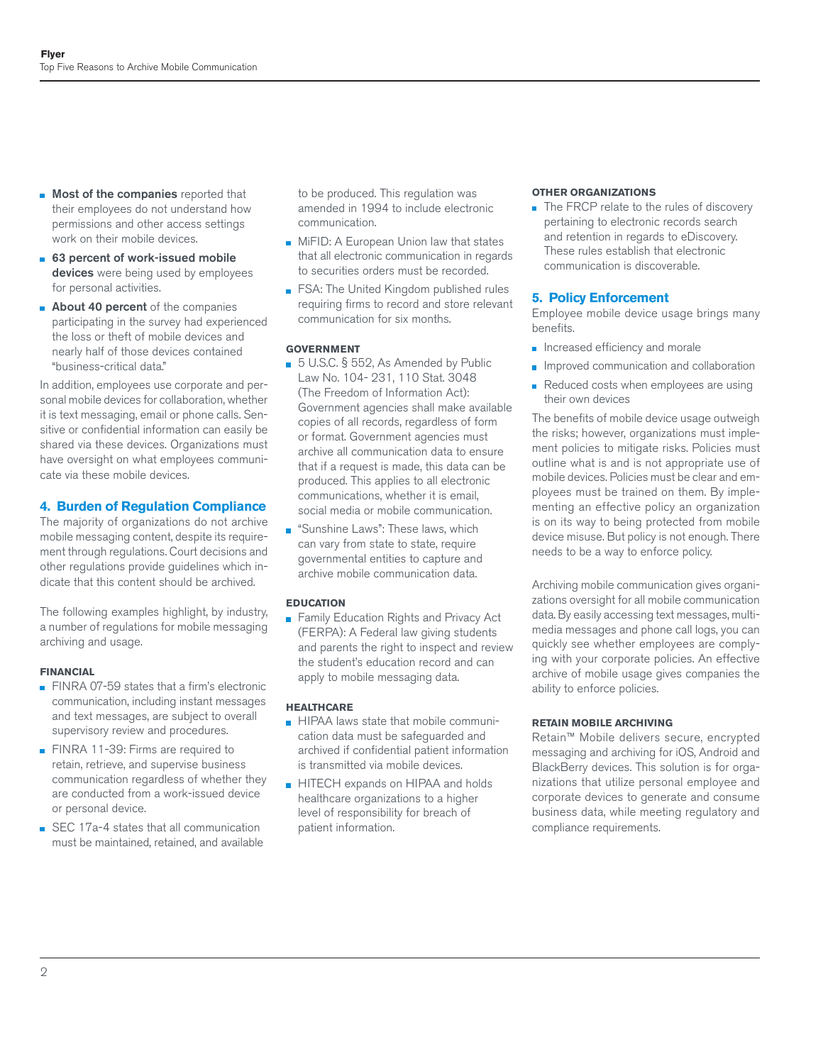- **Most of the companies** reported that their employees do not understand how permissions and other access settings work on their mobile devices.
- 63 percent of work-issued mobile devices were being used by employees for personal activities.
- **About 40 percent** of the companies participating in the survey had experienced the loss or theft of mobile devices and nearly half of those devices contained "business-critical data."

In addition, employees use corporate and personal mobile devices for collaboration, whether it is text messaging, email or phone calls. Sensitive or confidential information can easily be shared via these devices. Organizations must have oversight on what employees communicate via these mobile devices.

# **4. Burden of Regulation Compliance**

The majority of organizations do not archive mobile messaging content, despite its requirement through regulations. Court decisions and other regulations provide guidelines which indicate that this content should be archived.

The following examples highlight, by industry, a number of regulations for mobile messaging archiving and usage.

## **FINANCIAL**

- FINRA 07-59 states that a firm's electronic communication, including instant messages and text messages, are subject to overall supervisory review and procedures.
- FINRA 11-39: Firms are required to retain, retrieve, and supervise business communication regardless of whether they are conducted from a work-issued device or personal device.
- SEC 17a-4 states that all communication must be maintained, retained, and available

to be produced. This regulation was amended in 1994 to include electronic communication.

- **MiFID: A European Union law that states** that all electronic communication in regards to securities orders must be recorded.
- **FSA: The United Kingdom published rules** requiring firms to record and store relevant communication for six months.

#### **GOVERNMENT**

- 5 U.S.C. § 552, As Amended by Public Law No. 104- 231, 110 Stat. 3048 (The Freedom of Information Act): Government agencies shall make available copies of all records, regardless of form or format. Government agencies must archive all communication data to ensure that if a request is made, this data can be produced. This applies to all electronic communications, whether it is email, social media or mobile communication.
- **Sunshine Laws**": These laws, which can vary from state to state, require governmental entities to capture and archive mobile communication data.

#### **EDUCATION**

**Family Education Rights and Privacy Act** (FERPA): A Federal law giving students and parents the right to inspect and review the student's education record and can apply to mobile messaging data.

#### **HEALTHCARE**

- **HIPAA laws state that mobile communi**cation data must be safeguarded and archived if confidential patient information is transmitted via mobile devices.
- HITECH expands on HIPAA and holds healthcare organizations to a higher level of responsibility for breach of patient information.

#### **OTHER ORGANIZATIONS**

The FRCP relate to the rules of discovery pertaining to electronic records search and retention in regards to eDiscovery. These rules establish that electronic communication is discoverable.

## **5. Policy Enforcement**

Employee mobile device usage brings many benefits.

- $\blacksquare$  Increased efficiency and morale
- **Improved communication and collaboration**
- Reduced costs when employees are using their own devices

The benefits of mobile device usage outweigh the risks; however, organizations must implement policies to mitigate risks. Policies must outline what is and is not appropriate use of mobile devices. Policies must be clear and employees must be trained on them. By implementing an effective policy an organization is on its way to being protected from mobile device misuse. But policy is not enough. There needs to be a way to enforce policy.

Archiving mobile communication gives organizations oversight for all mobile communication data. By easily accessing text messages, multimedia messages and phone call logs, you can quickly see whether employees are complying with your corporate policies. An effective archive of mobile usage gives companies the ability to enforce policies.

#### **RETAIN MOBILE ARCHIVING**

Retain™ Mobile delivers secure, encrypted messaging and archiving for iOS, Android and BlackBerry devices. This solution is for organizations that utilize personal employee and corporate devices to generate and consume business data, while meeting regulatory and compliance requirements.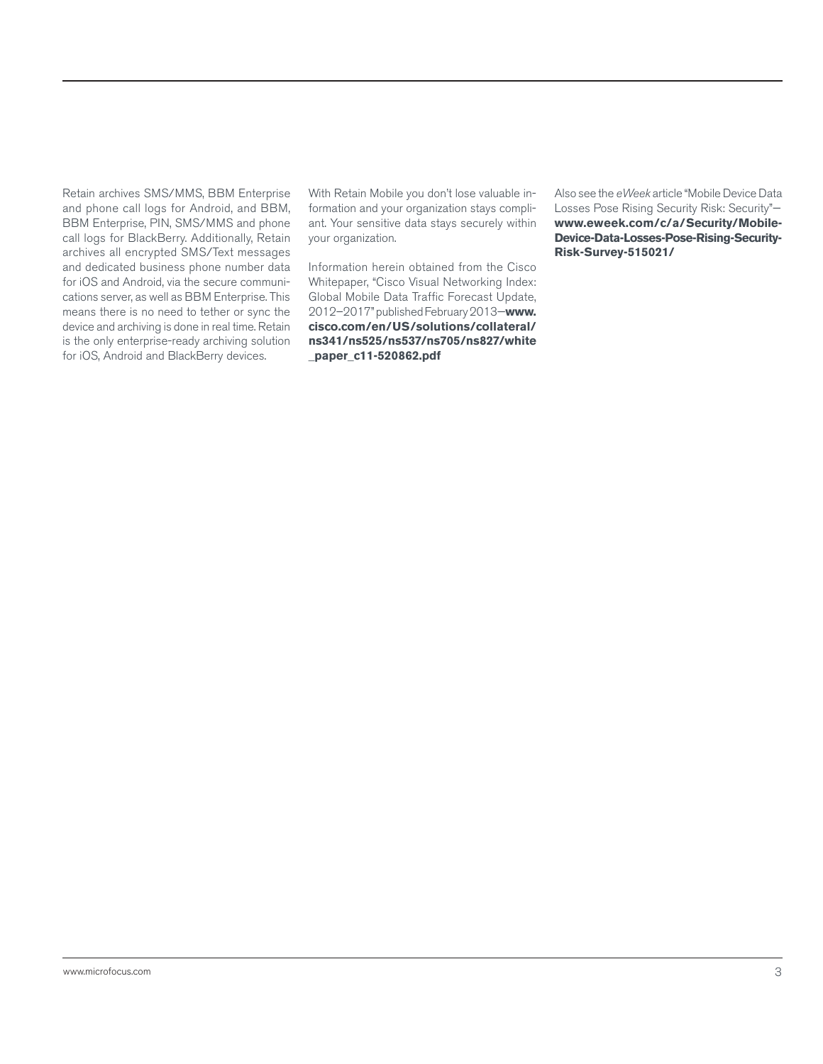Retain archives SMS/MMS, BBM Enterprise and phone call logs for Android, and BBM, BBM Enterprise, PIN, SMS/MMS and phone call logs for BlackBerry. Additionally, Retain archives all encrypted SMS/Text messages and dedicated business phone number data for iOS and Android, via the secure communications server, as well as BBM Enterprise. This means there is no need to tether or sync the device and archiving is done in real time. Retain is the only enterprise-ready archiving solution for iOS, Android and BlackBerry devices.

With Retain Mobile you don't lose valuable information and your organization stays compliant. Your sensitive data stays securely within your organization.

Information herein obtained from the Cisco Whitepaper, "Cisco Visual Networking Index: Global Mobile Data Traffic Forecast Update, 2012–2017" published February 2013—**www. [cisco.com/en/US/solutions/collateral/](http://www.cisco.com/en/US/solutions/collateral/ns341/ns525/ns537/ns705/ns827/white_paper_c11-520862.pdf) ns341/ns525/ns537/ns705/ns827/white \_paper\_c11-520862.pdf**

Also see the *eWeek* article "Mobile Device Data Losses Pose Rising Security Risk: Security" **[www.eweek.com/c/a/Security/Mobile-](http://www.eweek.com/c/a/Security/Mobile-Device-Data-Losses-Pose-Rising-Security-Risk-Survey-515021/)Device-Data-Losses-Pose-Rising-Security-Risk-Survey-515021/**